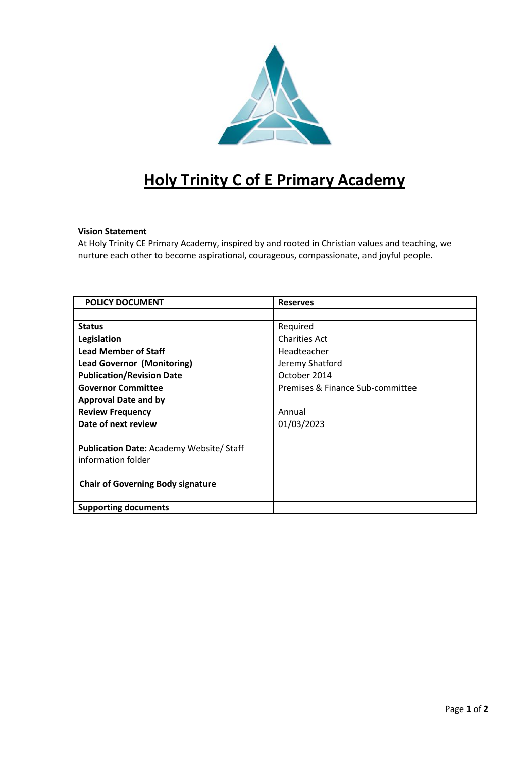

# **Holy Trinity C of E Primary Academy**

# **Vision Statement**

At Holy Trinity CE Primary Academy, inspired by and rooted in Christian values and teaching, we nurture each other to become aspirational, courageous, compassionate, and joyful people.

| <b>POLICY DOCUMENT</b>                         | <b>Reserves</b>                  |
|------------------------------------------------|----------------------------------|
|                                                |                                  |
| <b>Status</b>                                  | Required                         |
| Legislation                                    | <b>Charities Act</b>             |
| <b>Lead Member of Staff</b>                    | Headteacher                      |
| <b>Lead Governor (Monitoring)</b>              | Jeremy Shatford                  |
| <b>Publication/Revision Date</b>               | October 2014                     |
| <b>Governor Committee</b>                      | Premises & Finance Sub-committee |
| <b>Approval Date and by</b>                    |                                  |
| <b>Review Frequency</b>                        | Annual                           |
| Date of next review                            | 01/03/2023                       |
|                                                |                                  |
| <b>Publication Date: Academy Website/Staff</b> |                                  |
| information folder                             |                                  |
|                                                |                                  |
| <b>Chair of Governing Body signature</b>       |                                  |
|                                                |                                  |
| <b>Supporting documents</b>                    |                                  |